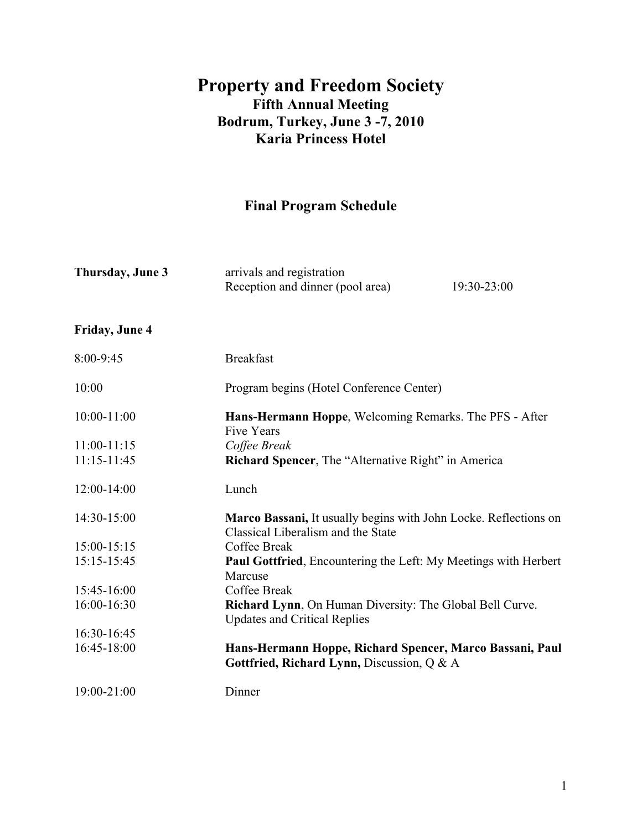## **Property and Freedom Society Fifth Annual Meeting Bodrum, Turkey, June 3 -7, 2010 Karia Princess Hotel**

# **Final Program Schedule**

| Thursday, June 3 | arrivals and registration<br>Reception and dinner (pool area)                                          | 19:30-23:00 |
|------------------|--------------------------------------------------------------------------------------------------------|-------------|
| Friday, June 4   |                                                                                                        |             |
| 8:00-9:45        | <b>Breakfast</b>                                                                                       |             |
| 10:00            | Program begins (Hotel Conference Center)                                                               |             |
| $10:00 - 11:00$  | Hans-Hermann Hoppe, Welcoming Remarks. The PFS - After<br><b>Five Years</b>                            |             |
| $11:00-11:15$    | Coffee Break                                                                                           |             |
| 11:15-11:45      | <b>Richard Spencer, The "Alternative Right" in America</b>                                             |             |
| 12:00-14:00      | Lunch                                                                                                  |             |
| 14:30-15:00      | Marco Bassani, It usually begins with John Locke. Reflections on<br>Classical Liberalism and the State |             |
| 15:00-15:15      | Coffee Break                                                                                           |             |
| 15:15-15:45      | <b>Paul Gottfried, Encountering the Left: My Meetings with Herbert</b><br>Marcuse                      |             |
| 15:45-16:00      | Coffee Break                                                                                           |             |
| 16:00-16:30      | Richard Lynn, On Human Diversity: The Global Bell Curve.<br><b>Updates and Critical Replies</b>        |             |
| 16:30-16:45      |                                                                                                        |             |
| 16:45-18:00      | Hans-Hermann Hoppe, Richard Spencer, Marco Bassani, Paul<br>Gottfried, Richard Lynn, Discussion, Q & A |             |
| 19:00-21:00      | Dinner                                                                                                 |             |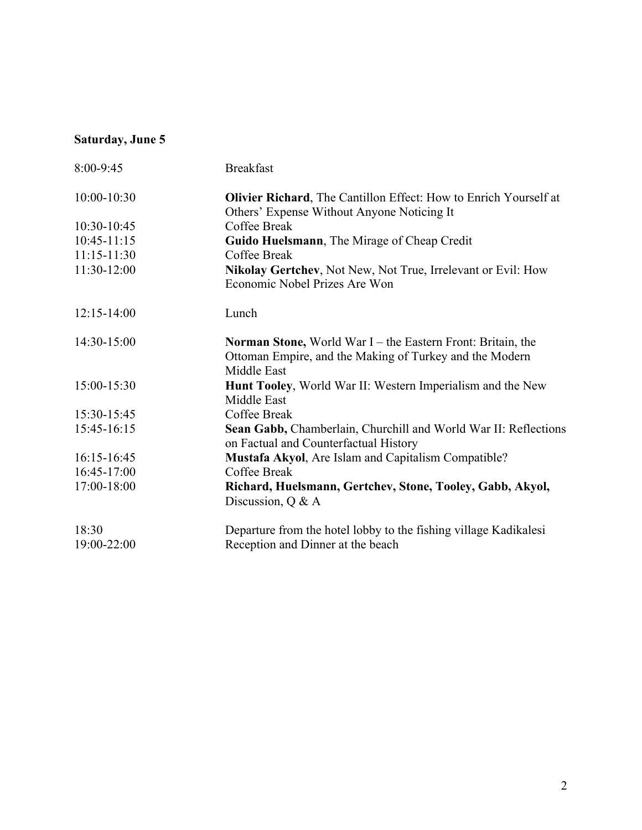### **Saturday, June 5**

| 8:00-9:45       | <b>Breakfast</b>                                                                                         |  |
|-----------------|----------------------------------------------------------------------------------------------------------|--|
| 10:00-10:30     | <b>Olivier Richard</b> , The Cantillon Effect: How to Enrich Yourself at                                 |  |
|                 | Others' Expense Without Anyone Noticing It                                                               |  |
| 10:30-10:45     | Coffee Break                                                                                             |  |
| $10:45 - 11:15$ | Guido Huelsmann, The Mirage of Cheap Credit                                                              |  |
| $11:15 - 11:30$ | Coffee Break                                                                                             |  |
| 11:30-12:00     | Nikolay Gertchev, Not New, Not True, Irrelevant or Evil: How                                             |  |
|                 | Economic Nobel Prizes Are Won                                                                            |  |
| $12:15 - 14:00$ | Lunch                                                                                                    |  |
| $14:30-15:00$   | <b>Norman Stone, World War I – the Eastern Front: Britain, the</b>                                       |  |
|                 | Ottoman Empire, and the Making of Turkey and the Modern                                                  |  |
|                 | Middle East                                                                                              |  |
| 15:00-15:30     | Hunt Tooley, World War II: Western Imperialism and the New                                               |  |
|                 | Middle East                                                                                              |  |
| 15:30-15:45     | Coffee Break                                                                                             |  |
| 15:45-16:15     | Sean Gabb, Chamberlain, Churchill and World War II: Reflections<br>on Factual and Counterfactual History |  |
| 16:15-16:45     | Mustafa Akyol, Are Islam and Capitalism Compatible?                                                      |  |
| 16:45-17:00     | Coffee Break                                                                                             |  |
| 17:00-18:00     | Richard, Huelsmann, Gertchev, Stone, Tooley, Gabb, Akyol,                                                |  |
|                 | Discussion, $Q & A$                                                                                      |  |
| 18:30           | Departure from the hotel lobby to the fishing village Kadikalesi                                         |  |
| 19:00-22:00     | Reception and Dinner at the beach                                                                        |  |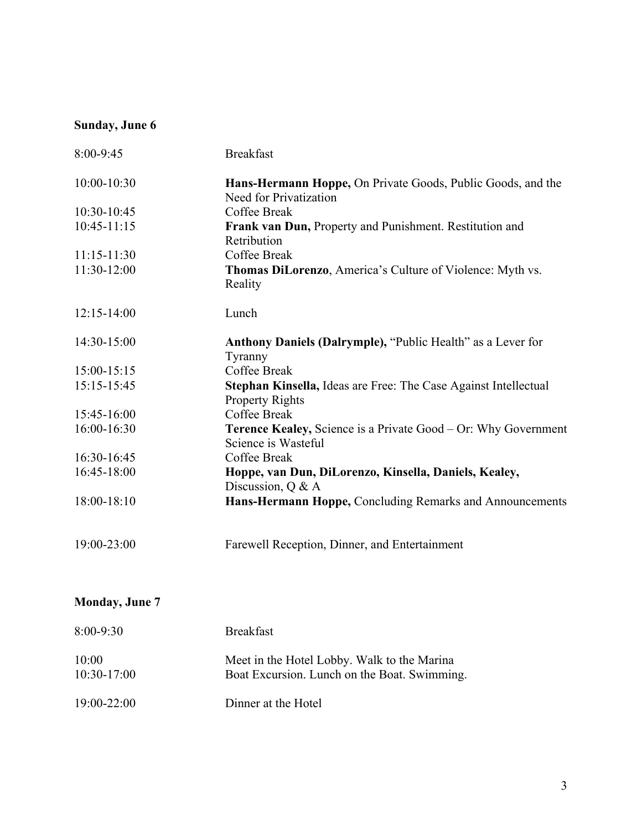### **Sunday, June 6**

| <b>Breakfast</b>                                                                          |
|-------------------------------------------------------------------------------------------|
| Hans-Hermann Hoppe, On Private Goods, Public Goods, and the<br>Need for Privatization     |
| Coffee Break                                                                              |
| Frank van Dun, Property and Punishment. Restitution and<br>Retribution                    |
| Coffee Break                                                                              |
| <b>Thomas DiLorenzo, America's Culture of Violence: Myth vs.</b><br>Reality               |
| Lunch                                                                                     |
| Anthony Daniels (Dalrymple), "Public Health" as a Lever for<br>Tyranny                    |
| Coffee Break                                                                              |
| Stephan Kinsella, Ideas are Free: The Case Against Intellectual<br><b>Property Rights</b> |
| Coffee Break                                                                              |
| Terence Kealey, Science is a Private Good - Or: Why Government<br>Science is Wasteful     |
| Coffee Break                                                                              |
| Hoppe, van Dun, DiLorenzo, Kinsella, Daniels, Kealey,<br>Discussion, $Q & A$              |
| Hans-Hermann Hoppe, Concluding Remarks and Announcements                                  |
| Farewell Reception, Dinner, and Entertainment                                             |
|                                                                                           |

# **Monday, June 7**

| $8:00 - 9:30$          | <b>Breakfast</b>                                                                            |
|------------------------|---------------------------------------------------------------------------------------------|
| 10:00<br>$10:30-17:00$ | Meet in the Hotel Lobby. Walk to the Marina<br>Boat Excursion. Lunch on the Boat. Swimming. |
| 19:00-22:00            | Dinner at the Hotel                                                                         |